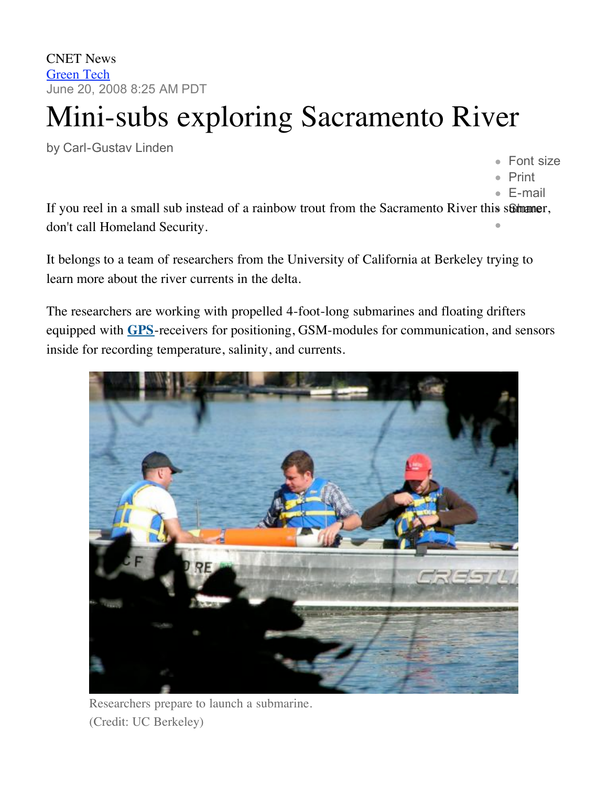CNET News Green Tech June 20, 2008 8:25 AM PDT

## Mini-subs exploring Sacramento River

by Carl-Gustav Linden

Font size

- Print
- E-mail

If you reel in a small sub instead of a rainbow trout from the Sacramento River this summer, don't call Homeland Security.

It belongs to a team of researchers from the University of California at Berkeley trying to learn more about the river currents in the delta.

The researchers are working with propelled 4-foot-long submarines and floating drifters equipped with **[GPS](http://reviews.cnet.com/gps/)**-receivers for positioning, GSM-modules for communication, and sensors inside for recording temperature, salinity, and currents.



Researchers prepare to launch a submarine. (Credit: UC Berkeley)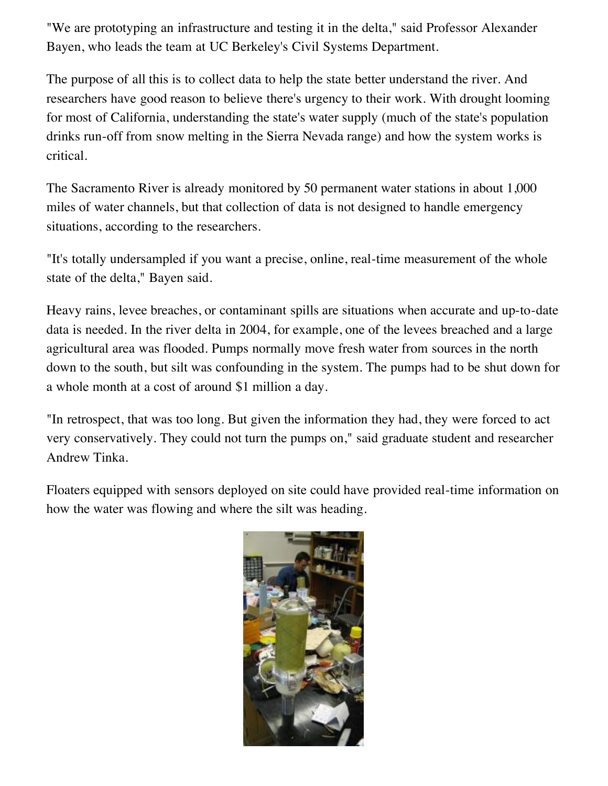"We are prototyping an infrastructure and testing it in the delta," said Professor Alexander Bayen, who leads the team at UC Berkeley's Civil Systems Department.

The purpose of all this is to collect data to help the state better understand the river. And researchers have good reason to believe there's urgency to their work. With drought looming for most of California, understanding the state's water supply (much of the state's population drinks run-off from snow melting in the Sierra Nevada range) and how the system works is critical.

The Sacramento River is already monitored by 50 permanent water stations in about 1,000 miles of water channels, but that collection of data is not designed to handle emergency situations, according to the researchers.

"It's totally undersampled if you want a precise, online, real-time measurement of the whole state of the delta," Bayen said.

Heavy rains, levee breaches, or contaminant spills are situations when accurate and up-to-date data is needed. In the river delta in 2004, for example, one of the levees breached and a large agricultural area was flooded. Pumps normally move fresh water from sources in the north down to the south, but silt was confounding in the system. The pumps had to be shut down for a whole month at a cost of around \$1 million a day.

"In retrospect, that was too long. But given the information they had, they were forced to act very conservatively. They could not turn the pumps on," said graduate student and researcher Andrew Tinka.

Floaters equipped with sensors deployed on site could have provided real-time information on how the water was flowing and where the silt was heading.